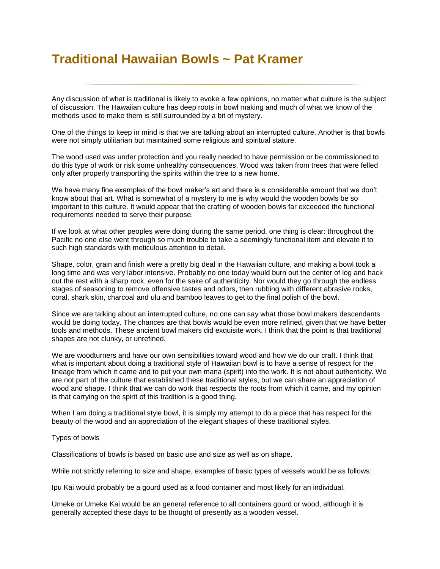## **Traditional Hawaiian Bowls ~ Pat Kramer**

Any discussion of what is traditional is likely to evoke a few opinions, no matter what culture is the subject of discussion. The Hawaiian culture has deep roots in bowl making and much of what we know of the methods used to make them is still surrounded by a bit of mystery.

One of the things to keep in mind is that we are talking about an interrupted culture. Another is that bowls were not simply utilitarian but maintained some religious and spiritual stature.

The wood used was under protection and you really needed to have permission or be commissioned to do this type of work or risk some unhealthy consequences. Wood was taken from trees that were felled only after properly transporting the spirits within the tree to a new home.

We have many fine examples of the bowl maker's art and there is a considerable amount that we don't know about that art. What is somewhat of a mystery to me is why would the wooden bowls be so important to this culture. It would appear that the crafting of wooden bowls far exceeded the functional requirements needed to serve their purpose.

If we look at what other peoples were doing during the same period, one thing is clear: throughout the Pacific no one else went through so much trouble to take a seemingly functional item and elevate it to such high standards with meticulous attention to detail.

Shape, color, grain and finish were a pretty big deal in the Hawaiian culture, and making a bowl took a long time and was very labor intensive. Probably no one today would burn out the center of log and hack out the rest with a sharp rock, even for the sake of authenticity. Nor would they go through the endless stages of seasoning to remove offensive tastes and odors, then rubbing with different abrasive rocks, coral, shark skin, charcoal and ulu and bamboo leaves to get to the final polish of the bowl.

Since we are talking about an interrupted culture, no one can say what those bowl makers descendants would be doing today. The chances are that bowls would be even more refined, given that we have better tools and methods. These ancient bowl makers did exquisite work. I think that the point is that traditional shapes are not clunky, or unrefined.

We are woodturners and have our own sensibilities toward wood and how we do our craft. I think that what is important about doing a traditional style of Hawaiian bowl is to have a sense of respect for the lineage from which it came and to put your own mana (spirit) into the work. It is not about authenticity. We are not part of the culture that established these traditional styles, but we can share an appreciation of wood and shape. I think that we can do work that respects the roots from which it came, and my opinion is that carrying on the spirit of this tradition is a good thing.

When I am doing a traditional style bowl, it is simply my attempt to do a piece that has respect for the beauty of the wood and an appreciation of the elegant shapes of these traditional styles.

## Types of bowls

Classifications of bowls is based on basic use and size as well as on shape.

While not strictly referring to size and shape, examples of basic types of vessels would be as follows:

Ipu Kai would probably be a gourd used as a food container and most likely for an individual.

Umeke or Umeke Kai would be an general reference to all containers gourd or wood, although it is generally accepted these days to be thought of presently as a wooden vessel.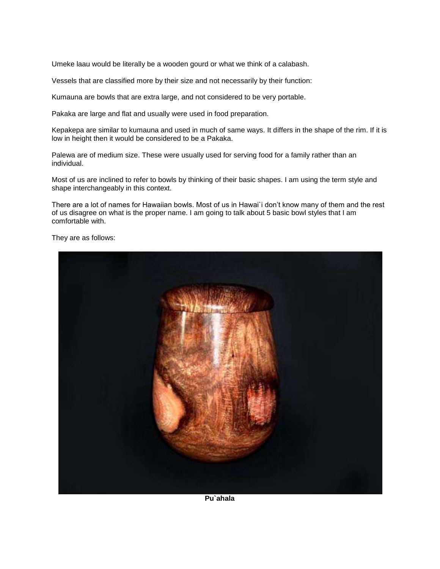Umeke laau would be literally be a wooden gourd or what we think of a calabash.

Vessels that are classified more by their size and not necessarily by their function:

Kumauna are bowls that are extra large, and not considered to be very portable.

Pakaka are large and flat and usually were used in food preparation.

Kepakepa are similar to kumauna and used in much of same ways. It differs in the shape of the rim. If it is low in height then it would be considered to be a Pakaka.

Palewa are of medium size. These were usually used for serving food for a family rather than an individual.

Most of us are inclined to refer to bowls by thinking of their basic shapes. I am using the term style and shape interchangeably in this context.

There are a lot of names for Hawaiian bowls. Most of us in Hawai`i don't know many of them and the rest of us disagree on what is the proper name. I am going to talk about 5 basic bowl styles that I am comfortable with.

They are as follows:



**Pu`ahala**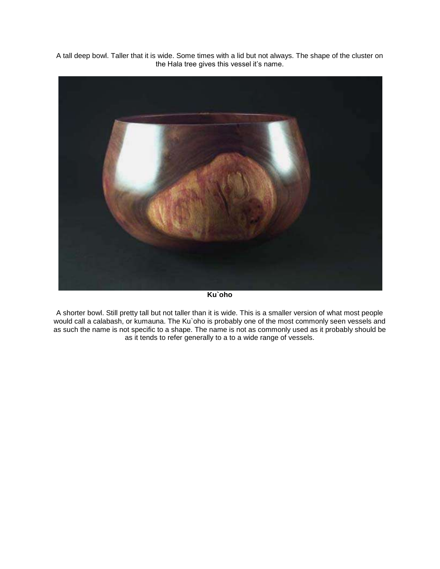A tall deep bowl. Taller that it is wide. Some times with a lid but not always. The shape of the cluster on the Hala tree gives this vessel it's name.



**Ku`oho**

A shorter bowl. Still pretty tall but not taller than it is wide. This is a smaller version of what most people would call a calabash, or kumauna. The Ku`oho is probably one of the most commonly seen vessels and as such the name is not specific to a shape. The name is not as commonly used as it probably should be as it tends to refer generally to a to a wide range of vessels.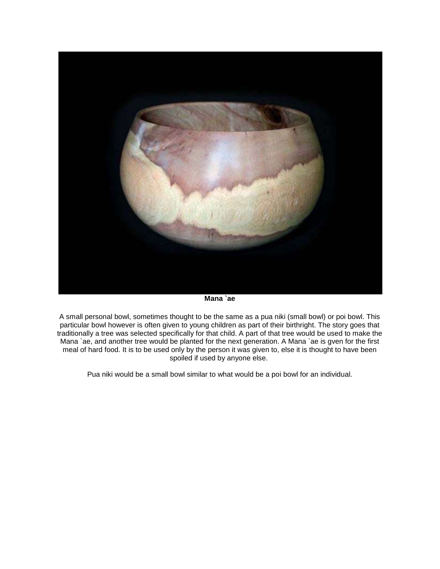

**Mana `ae**

A small personal bowl, sometimes thought to be the same as a pua niki (small bowl) or poi bowl. This particular bowl however is often given to young children as part of their birthright. The story goes that traditionally a tree was selected specifically for that child. A part of that tree would be used to make the Mana `ae, and another tree would be planted for the next generation. A Mana `ae is gven for the first meal of hard food. It is to be used only by the person it was given to, else it is thought to have been spoiled if used by anyone else.

Pua niki would be a small bowl similar to what would be a poi bowl for an individual.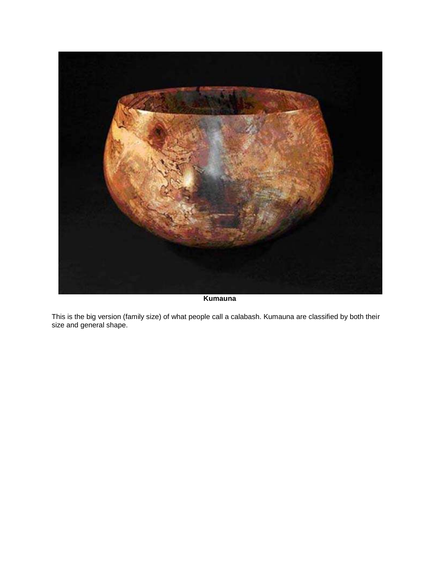

**Kumauna**

This is the big version (family size) of what people call a calabash. Kumauna are classified by both their size and general shape.